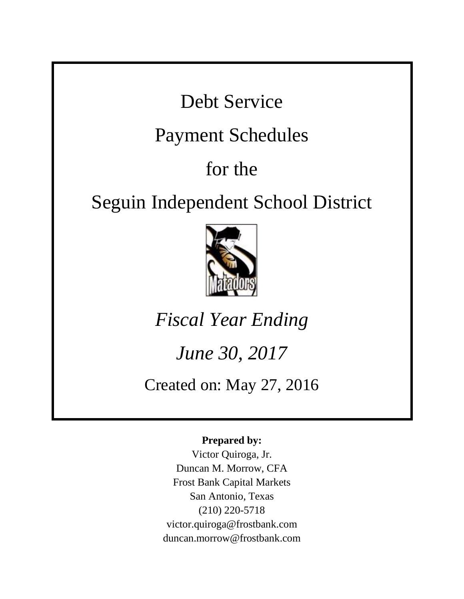Debt Service

## Payment Schedules

# for the

## Seguin Independent School District



*Fiscal Year Ending*

# *June 30, 2017*

Created on: May 27, 2016

### **Prepared by:**

Victor Quiroga, Jr. Duncan M. Morrow, CFA Frost Bank Capital Markets San Antonio, Texas (210) 220-5718 victor.quiroga@frostbank.com duncan.morrow@frostbank.com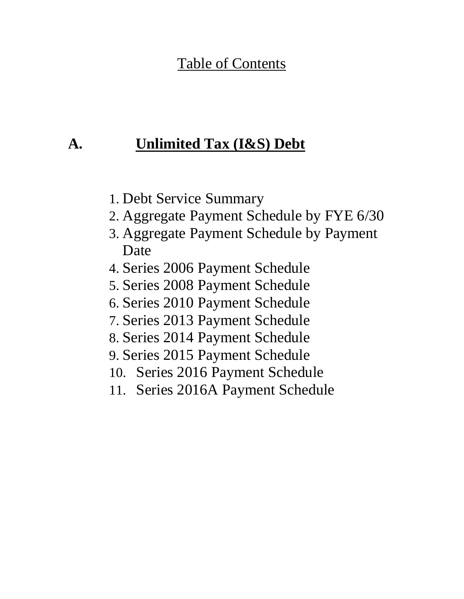### Table of Contents

### **A. Unlimited Tax (I&S) Debt**

- 1. Debt Service Summary
- 2. Aggregate Payment Schedule by FYE 6/30
- 3. Aggregate Payment Schedule by Payment Date
- 4. Series 2006 Payment Schedule
- 5. Series 2008 Payment Schedule
- 6. Series 2010 Payment Schedule
- 7. Series 2013 Payment Schedule
- 8. Series 2014 Payment Schedule
- 9. Series 2015 Payment Schedule
- 10. Series 2016 Payment Schedule
- 11. Series 2016A Payment Schedule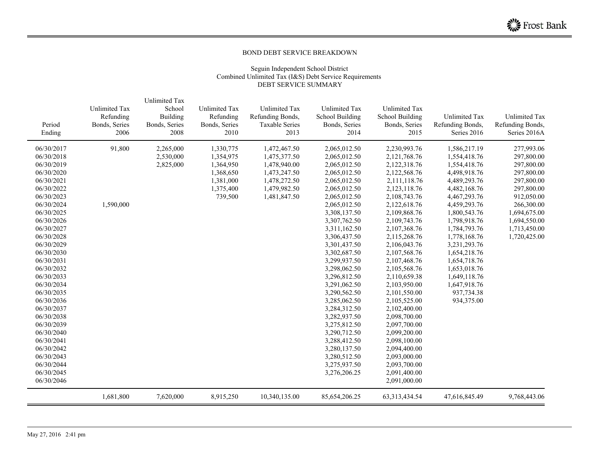#### BOND DEBT SERVICE BREAKDOWN

#### Seguin Independent School District Combined Unlimited Tax (I&S) Debt Service Requirements DEBT SERVICE SUMMARY

| Period<br>Ending | <b>Unlimited Tax</b><br>Refunding<br>Bonds, Series<br>2006 | <b>Unlimited Tax</b><br>School<br>Building<br>Bonds, Series<br>2008 | Unlimited Tax<br>Refunding<br>Bonds, Series<br>2010 | <b>Unlimited Tax</b><br>Refunding Bonds,<br><b>Taxable Series</b><br>2013 | <b>Unlimited Tax</b><br><b>School Building</b><br>Bonds, Series<br>2014 | Unlimited Tax<br>School Building<br>Bonds, Series<br>2015 | <b>Unlimited Tax</b><br>Refunding Bonds,<br>Series 2016 | <b>Unlimited Tax</b><br>Refunding Bonds,<br>Series 2016A |
|------------------|------------------------------------------------------------|---------------------------------------------------------------------|-----------------------------------------------------|---------------------------------------------------------------------------|-------------------------------------------------------------------------|-----------------------------------------------------------|---------------------------------------------------------|----------------------------------------------------------|
| 06/30/2017       | 91,800                                                     | 2,265,000                                                           | 1,330,775                                           | 1,472,467.50                                                              | 2,065,012.50                                                            | 2,230,993.76                                              | 1,586,217.19                                            | 277,993.06                                               |
| 06/30/2018       |                                                            | 2,530,000                                                           | 1,354,975                                           | 1,475,377.50                                                              | 2,065,012.50                                                            | 2,121,768.76                                              | 1,554,418.76                                            | 297,800.00                                               |
| 06/30/2019       |                                                            | 2,825,000                                                           | 1,364,950                                           | 1,478,940.00                                                              | 2,065,012.50                                                            | 2,122,318.76                                              | 1,554,418.76                                            | 297,800.00                                               |
| 06/30/2020       |                                                            |                                                                     | 1,368,650                                           | 1,473,247.50                                                              | 2,065,012.50                                                            | 2,122,568.76                                              | 4,498,918.76                                            | 297,800.00                                               |
| 06/30/2021       |                                                            |                                                                     | 1,381,000                                           | 1,478,272.50                                                              | 2,065,012.50                                                            | 2,111,118.76                                              | 4,489,293.76                                            | 297,800.00                                               |
| 06/30/2022       |                                                            |                                                                     | 1,375,400                                           | 1,479,982.50                                                              | 2,065,012.50                                                            | 2,123,118.76                                              | 4,482,168.76                                            | 297,800.00                                               |
| 06/30/2023       |                                                            |                                                                     | 739,500                                             | 1,481,847.50                                                              | 2,065,012.50                                                            | 2,108,743.76                                              | 4,467,293.76                                            | 912,050.00                                               |
| 06/30/2024       | 1,590,000                                                  |                                                                     |                                                     |                                                                           | 2,065,012.50                                                            | 2,122,618.76                                              | 4,459,293.76                                            | 266,300.00                                               |
| 06/30/2025       |                                                            |                                                                     |                                                     |                                                                           | 3,308,137.50                                                            | 2,109,868.76                                              | 1,800,543.76                                            | 1,694,675.00                                             |
| 06/30/2026       |                                                            |                                                                     |                                                     |                                                                           | 3,307,762.50                                                            | 2,109,743.76                                              | 1,798,918.76                                            | 1,694,550.00                                             |
| 06/30/2027       |                                                            |                                                                     |                                                     |                                                                           | 3,311,162.50                                                            | 2,107,368.76                                              | 1,784,793.76                                            | 1,713,450.00                                             |
| 06/30/2028       |                                                            |                                                                     |                                                     |                                                                           | 3,306,437.50                                                            | 2,115,268.76                                              | 1,778,168.76                                            | 1,720,425.00                                             |
| 06/30/2029       |                                                            |                                                                     |                                                     |                                                                           | 3,301,437.50                                                            | 2,106,043.76                                              | 3,231,293.76                                            |                                                          |
| 06/30/2030       |                                                            |                                                                     |                                                     |                                                                           | 3,302,687.50                                                            | 2,107,568.76                                              | 1,654,218.76                                            |                                                          |
| 06/30/2031       |                                                            |                                                                     |                                                     |                                                                           | 3,299,937.50                                                            | 2,107,468.76                                              | 1,654,718.76                                            |                                                          |
| 06/30/2032       |                                                            |                                                                     |                                                     |                                                                           | 3,298,062.50                                                            | 2,105,568.76                                              | 1,653,018.76                                            |                                                          |
| 06/30/2033       |                                                            |                                                                     |                                                     |                                                                           | 3,296,812.50                                                            | 2,110,659.38                                              | 1,649,118.76                                            |                                                          |
| 06/30/2034       |                                                            |                                                                     |                                                     |                                                                           | 3,291,062.50                                                            | 2,103,950.00                                              | 1,647,918.76                                            |                                                          |
| 06/30/2035       |                                                            |                                                                     |                                                     |                                                                           | 3,290,562.50                                                            | 2,101,550.00                                              | 937,734.38                                              |                                                          |
| 06/30/2036       |                                                            |                                                                     |                                                     |                                                                           | 3,285,062.50                                                            | 2,105,525.00                                              | 934,375.00                                              |                                                          |
| 06/30/2037       |                                                            |                                                                     |                                                     |                                                                           | 3,284,312.50                                                            | 2,102,400.00                                              |                                                         |                                                          |
| 06/30/2038       |                                                            |                                                                     |                                                     |                                                                           | 3,282,937.50                                                            | 2,098,700.00                                              |                                                         |                                                          |
| 06/30/2039       |                                                            |                                                                     |                                                     |                                                                           | 3,275,812.50                                                            | 2,097,700.00                                              |                                                         |                                                          |
| 06/30/2040       |                                                            |                                                                     |                                                     |                                                                           | 3,290,712.50                                                            | 2,099,200.00                                              |                                                         |                                                          |
| 06/30/2041       |                                                            |                                                                     |                                                     |                                                                           | 3,288,412.50                                                            | 2,098,100.00                                              |                                                         |                                                          |
| 06/30/2042       |                                                            |                                                                     |                                                     |                                                                           | 3,280,137.50                                                            | 2,094,400.00                                              |                                                         |                                                          |
| 06/30/2043       |                                                            |                                                                     |                                                     |                                                                           | 3,280,512.50                                                            | 2,093,000.00                                              |                                                         |                                                          |
| 06/30/2044       |                                                            |                                                                     |                                                     |                                                                           | 3,275,937.50                                                            | 2,093,700.00                                              |                                                         |                                                          |
| 06/30/2045       |                                                            |                                                                     |                                                     |                                                                           | 3,276,206.25                                                            | 2,091,400.00                                              |                                                         |                                                          |
| 06/30/2046       |                                                            |                                                                     |                                                     |                                                                           |                                                                         | 2,091,000.00                                              |                                                         |                                                          |
|                  | 1,681,800                                                  | 7,620,000                                                           | 8,915,250                                           | 10,340,135.00                                                             | 85,654,206.25                                                           | 63, 313, 434. 54                                          | 47,616,845.49                                           | 9,768,443.06                                             |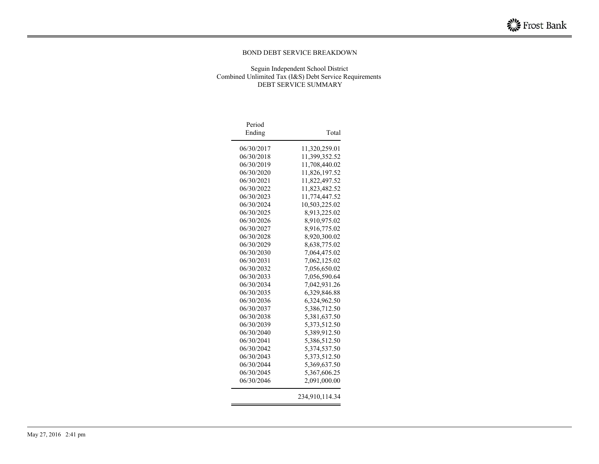#### BOND DEBT SERVICE BREAKDOWN

#### Seguin Independent School District Combined Unlimited Tax (I&S) Debt Service Requirements DEBT SERVICE SUMMARY

| Period     |                |
|------------|----------------|
| Ending     | Total          |
| 06/30/2017 | 11,320,259.01  |
| 06/30/2018 | 11,399,352.52  |
| 06/30/2019 | 11,708,440.02  |
| 06/30/2020 | 11,826,197.52  |
| 06/30/2021 | 11,822,497.52  |
| 06/30/2022 | 11,823,482.52  |
| 06/30/2023 | 11,774,447.52  |
| 06/30/2024 | 10,503,225.02  |
| 06/30/2025 | 8,913,225.02   |
| 06/30/2026 | 8,910,975.02   |
| 06/30/2027 | 8,916,775.02   |
| 06/30/2028 | 8,920,300.02   |
| 06/30/2029 | 8,638,775.02   |
| 06/30/2030 | 7,064,475.02   |
| 06/30/2031 | 7,062,125.02   |
| 06/30/2032 | 7,056,650.02   |
| 06/30/2033 | 7,056,590.64   |
| 06/30/2034 | 7,042,931.26   |
| 06/30/2035 | 6,329,846.88   |
| 06/30/2036 | 6,324,962.50   |
| 06/30/2037 | 5,386,712.50   |
| 06/30/2038 | 5,381,637.50   |
| 06/30/2039 | 5,373,512.50   |
| 06/30/2040 | 5,389,912.50   |
| 06/30/2041 | 5,386,512.50   |
| 06/30/2042 | 5,374,537.50   |
| 06/30/2043 | 5,373,512.50   |
| 06/30/2044 | 5,369,637.50   |
| 06/30/2045 | 5,367,606.25   |
| 06/30/2046 | 2,091,000.00   |
|            | 234,910,114.34 |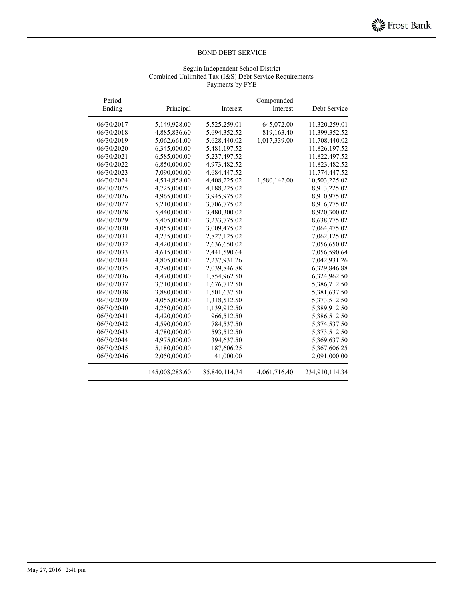#### Seguin Independent School District Combined Unlimited Tax (I&S) Debt Service Requirements Payments by FYE

| Period<br>Ending | Principal      | Interest      | Compounded<br>Interest | Debt Service   |
|------------------|----------------|---------------|------------------------|----------------|
|                  |                |               |                        |                |
| 06/30/2017       | 5,149,928.00   | 5,525,259.01  | 645,072.00             | 11,320,259.01  |
| 06/30/2018       | 4,885,836.60   | 5,694,352.52  | 819,163.40             | 11,399,352.52  |
| 06/30/2019       | 5,062,661.00   | 5,628,440.02  | 1,017,339.00           | 11,708,440.02  |
| 06/30/2020       | 6,345,000.00   | 5,481,197.52  |                        | 11,826,197.52  |
| 06/30/2021       | 6,585,000.00   | 5,237,497.52  |                        | 11,822,497.52  |
| 06/30/2022       | 6,850,000.00   | 4,973,482.52  |                        | 11,823,482.52  |
| 06/30/2023       | 7,090,000.00   | 4,684,447.52  |                        | 11,774,447.52  |
| 06/30/2024       | 4,514,858.00   | 4,408,225.02  | 1,580,142.00           | 10,503,225.02  |
| 06/30/2025       | 4,725,000.00   | 4,188,225.02  |                        | 8,913,225.02   |
| 06/30/2026       | 4,965,000.00   | 3,945,975.02  |                        | 8,910,975.02   |
| 06/30/2027       | 5,210,000.00   | 3,706,775.02  |                        | 8,916,775.02   |
| 06/30/2028       | 5,440,000.00   | 3,480,300.02  |                        | 8,920,300.02   |
| 06/30/2029       | 5,405,000.00   | 3,233,775.02  |                        | 8,638,775.02   |
| 06/30/2030       | 4,055,000.00   | 3,009,475.02  |                        | 7,064,475.02   |
| 06/30/2031       | 4,235,000.00   | 2,827,125.02  |                        | 7,062,125.02   |
| 06/30/2032       | 4,420,000.00   | 2,636,650.02  |                        | 7,056,650.02   |
| 06/30/2033       | 4,615,000.00   | 2,441,590.64  |                        | 7,056,590.64   |
| 06/30/2034       | 4,805,000.00   | 2,237,931.26  |                        | 7,042,931.26   |
| 06/30/2035       | 4,290,000.00   | 2,039,846.88  |                        | 6,329,846.88   |
| 06/30/2036       | 4,470,000.00   | 1,854,962.50  |                        | 6,324,962.50   |
| 06/30/2037       | 3,710,000.00   | 1,676,712.50  |                        | 5,386,712.50   |
| 06/30/2038       | 3,880,000.00   | 1,501,637.50  |                        | 5,381,637.50   |
| 06/30/2039       | 4,055,000.00   | 1,318,512.50  |                        | 5,373,512.50   |
| 06/30/2040       | 4,250,000.00   | 1,139,912.50  |                        | 5,389,912.50   |
| 06/30/2041       | 4,420,000.00   | 966,512.50    |                        | 5,386,512.50   |
| 06/30/2042       | 4,590,000.00   | 784,537.50    |                        | 5,374,537.50   |
| 06/30/2043       | 4,780,000.00   | 593,512.50    |                        | 5,373,512.50   |
| 06/30/2044       | 4,975,000.00   | 394,637.50    |                        | 5,369,637.50   |
| 06/30/2045       | 5,180,000.00   | 187,606.25    |                        | 5,367,606.25   |
| 06/30/2046       | 2,050,000.00   | 41,000.00     |                        | 2,091,000.00   |
|                  | 145,008,283.60 | 85,840,114.34 | 4,061,716.40           | 234,910,114.34 |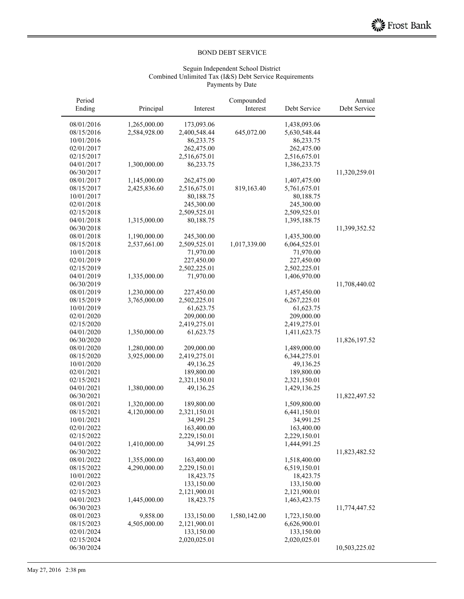#### Seguin Independent School District Combined Unlimited Tax (I&S) Debt Service Requirements Payments by Date

| Period     |              |              | Compounded   |              | Annual        |
|------------|--------------|--------------|--------------|--------------|---------------|
| Ending     | Principal    | Interest     | Interest     | Debt Service | Debt Service  |
| 08/01/2016 | 1,265,000.00 | 173,093.06   |              | 1,438,093.06 |               |
| 08/15/2016 | 2,584,928.00 | 2,400,548.44 | 645,072.00   | 5,630,548.44 |               |
| 10/01/2016 |              | 86,233.75    |              | 86,233.75    |               |
| 02/01/2017 |              | 262,475.00   |              | 262,475.00   |               |
| 02/15/2017 |              | 2,516,675.01 |              | 2,516,675.01 |               |
| 04/01/2017 | 1,300,000.00 | 86,233.75    |              | 1,386,233.75 |               |
| 06/30/2017 |              |              |              |              | 11,320,259.01 |
| 08/01/2017 | 1,145,000.00 | 262,475.00   |              | 1,407,475.00 |               |
| 08/15/2017 | 2,425,836.60 | 2,516,675.01 | 819,163.40   | 5,761,675.01 |               |
| 10/01/2017 |              | 80,188.75    |              | 80,188.75    |               |
| 02/01/2018 |              | 245,300.00   |              | 245,300.00   |               |
| 02/15/2018 |              | 2,509,525.01 |              | 2,509,525.01 |               |
| 04/01/2018 | 1,315,000.00 | 80,188.75    |              | 1,395,188.75 |               |
| 06/30/2018 |              |              |              |              | 11,399,352.52 |
| 08/01/2018 | 1,190,000.00 | 245,300.00   |              | 1,435,300.00 |               |
| 08/15/2018 | 2,537,661.00 | 2,509,525.01 | 1,017,339.00 | 6,064,525.01 |               |
| 10/01/2018 |              | 71,970.00    |              | 71,970.00    |               |
| 02/01/2019 |              | 227,450.00   |              | 227,450.00   |               |
| 02/15/2019 |              | 2,502,225.01 |              | 2,502,225.01 |               |
| 04/01/2019 | 1,335,000.00 | 71,970.00    |              | 1,406,970.00 |               |
| 06/30/2019 |              |              |              |              | 11,708,440.02 |
| 08/01/2019 | 1,230,000.00 | 227,450.00   |              | 1,457,450.00 |               |
| 08/15/2019 | 3,765,000.00 | 2,502,225.01 |              | 6,267,225.01 |               |
| 10/01/2019 |              | 61,623.75    |              | 61,623.75    |               |
| 02/01/2020 |              | 209,000.00   |              | 209,000.00   |               |
| 02/15/2020 |              | 2,419,275.01 |              | 2,419,275.01 |               |
| 04/01/2020 | 1,350,000.00 | 61,623.75    |              | 1,411,623.75 |               |
| 06/30/2020 |              |              |              |              | 11,826,197.52 |
| 08/01/2020 | 1,280,000.00 | 209,000.00   |              | 1,489,000.00 |               |
| 08/15/2020 | 3,925,000.00 | 2,419,275.01 |              | 6,344,275.01 |               |
| 10/01/2020 |              | 49,136.25    |              | 49,136.25    |               |
| 02/01/2021 |              | 189,800.00   |              | 189,800.00   |               |
| 02/15/2021 |              | 2,321,150.01 |              | 2,321,150.01 |               |
| 04/01/2021 | 1,380,000.00 | 49,136.25    |              | 1,429,136.25 |               |
| 06/30/2021 |              |              |              |              | 11,822,497.52 |
| 08/01/2021 | 1,320,000.00 | 189,800.00   |              | 1,509,800.00 |               |
| 08/15/2021 | 4,120,000.00 | 2,321,150.01 |              | 6,441,150.01 |               |
| 10/01/2021 |              | 34,991.25    |              | 34,991.25    |               |
| 02/01/2022 |              | 163,400.00   |              | 163,400.00   |               |
| 02/15/2022 |              | 2,229,150.01 |              | 2,229,150.01 |               |
| 04/01/2022 | 1,410,000.00 | 34,991.25    |              | 1,444,991.25 |               |
| 06/30/2022 |              |              |              |              | 11,823,482.52 |
| 08/01/2022 | 1,355,000.00 | 163,400.00   |              | 1,518,400.00 |               |
| 08/15/2022 | 4,290,000.00 | 2,229,150.01 |              | 6,519,150.01 |               |
| 10/01/2022 |              | 18,423.75    |              | 18,423.75    |               |
| 02/01/2023 |              | 133,150.00   |              | 133,150.00   |               |
| 02/15/2023 |              | 2,121,900.01 |              | 2,121,900.01 |               |
| 04/01/2023 | 1,445,000.00 | 18,423.75    |              | 1,463,423.75 |               |
| 06/30/2023 |              |              |              |              | 11,774,447.52 |
| 08/01/2023 | 9,858.00     | 133,150.00   | 1,580,142.00 | 1,723,150.00 |               |
| 08/15/2023 | 4,505,000.00 | 2,121,900.01 |              | 6,626,900.01 |               |
| 02/01/2024 |              | 133,150.00   |              | 133,150.00   |               |
| 02/15/2024 |              | 2,020,025.01 |              | 2,020,025.01 |               |
| 06/30/2024 |              |              |              |              | 10,503,225.02 |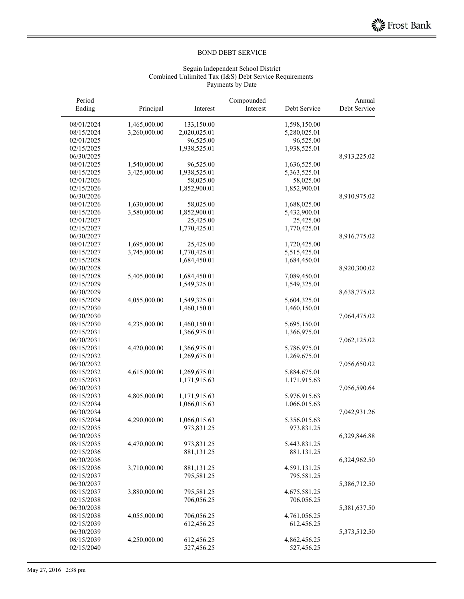#### Seguin Independent School District Combined Unlimited Tax (I&S) Debt Service Requirements Payments by Date

| Period     |              |              | Compounded |              | Annual       |
|------------|--------------|--------------|------------|--------------|--------------|
| Ending     | Principal    | Interest     | Interest   | Debt Service | Debt Service |
| 08/01/2024 | 1,465,000.00 | 133,150.00   |            | 1,598,150.00 |              |
| 08/15/2024 | 3,260,000.00 | 2,020,025.01 |            | 5,280,025.01 |              |
| 02/01/2025 |              | 96,525.00    |            | 96,525.00    |              |
| 02/15/2025 |              | 1,938,525.01 |            | 1,938,525.01 |              |
| 06/30/2025 |              |              |            |              | 8,913,225.02 |
| 08/01/2025 | 1,540,000.00 | 96,525.00    |            | 1,636,525.00 |              |
| 08/15/2025 | 3,425,000.00 | 1,938,525.01 |            | 5,363,525.01 |              |
| 02/01/2026 |              | 58,025.00    |            | 58,025.00    |              |
| 02/15/2026 |              | 1,852,900.01 |            | 1,852,900.01 |              |
| 06/30/2026 |              |              |            |              | 8,910,975.02 |
| 08/01/2026 | 1,630,000.00 | 58,025.00    |            | 1,688,025.00 |              |
| 08/15/2026 | 3,580,000.00 | 1,852,900.01 |            | 5,432,900.01 |              |
| 02/01/2027 |              | 25,425.00    |            | 25,425.00    |              |
| 02/15/2027 |              | 1,770,425.01 |            | 1,770,425.01 |              |
|            |              |              |            |              |              |
| 06/30/2027 |              |              |            |              | 8,916,775.02 |
| 08/01/2027 | 1,695,000.00 | 25,425.00    |            | 1,720,425.00 |              |
| 08/15/2027 | 3,745,000.00 | 1,770,425.01 |            | 5,515,425.01 |              |
| 02/15/2028 |              | 1,684,450.01 |            | 1,684,450.01 |              |
| 06/30/2028 |              |              |            |              | 8,920,300.02 |
| 08/15/2028 | 5,405,000.00 | 1,684,450.01 |            | 7,089,450.01 |              |
| 02/15/2029 |              | 1,549,325.01 |            | 1,549,325.01 |              |
| 06/30/2029 |              |              |            |              | 8,638,775.02 |
| 08/15/2029 | 4,055,000.00 | 1,549,325.01 |            | 5,604,325.01 |              |
| 02/15/2030 |              | 1,460,150.01 |            | 1,460,150.01 |              |
| 06/30/2030 |              |              |            |              | 7,064,475.02 |
| 08/15/2030 | 4,235,000.00 | 1,460,150.01 |            | 5,695,150.01 |              |
| 02/15/2031 |              | 1,366,975.01 |            | 1,366,975.01 |              |
| 06/30/2031 |              |              |            |              | 7,062,125.02 |
| 08/15/2031 | 4,420,000.00 | 1,366,975.01 |            | 5,786,975.01 |              |
| 02/15/2032 |              | 1,269,675.01 |            | 1,269,675.01 |              |
| 06/30/2032 |              |              |            |              | 7,056,650.02 |
| 08/15/2032 | 4,615,000.00 | 1,269,675.01 |            | 5,884,675.01 |              |
| 02/15/2033 |              | 1,171,915.63 |            | 1,171,915.63 |              |
| 06/30/2033 |              |              |            |              | 7,056,590.64 |
| 08/15/2033 | 4,805,000.00 | 1,171,915.63 |            | 5,976,915.63 |              |
| 02/15/2034 |              | 1,066,015.63 |            | 1,066,015.63 |              |
| 06/30/2034 |              |              |            |              | 7,042,931.26 |
| 08/15/2034 | 4,290,000.00 | 1,066,015.63 |            | 5,356,015.63 |              |
| 02/15/2035 |              | 973,831.25   |            | 973,831.25   |              |
| 06/30/2035 |              |              |            |              | 6,329,846.88 |
| 08/15/2035 | 4,470,000.00 | 973,831.25   |            | 5,443,831.25 |              |
| 02/15/2036 |              | 881,131.25   |            | 881,131.25   |              |
| 06/30/2036 |              |              |            |              | 6,324,962.50 |
| 08/15/2036 | 3,710,000.00 | 881,131.25   |            | 4,591,131.25 |              |
| 02/15/2037 |              | 795,581.25   |            | 795,581.25   |              |
| 06/30/2037 |              |              |            |              | 5,386,712.50 |
| 08/15/2037 | 3,880,000.00 | 795,581.25   |            | 4,675,581.25 |              |
| 02/15/2038 |              | 706,056.25   |            | 706,056.25   |              |
|            |              |              |            |              |              |
| 06/30/2038 | 4,055,000.00 | 706,056.25   |            | 4,761,056.25 | 5,381,637.50 |
| 08/15/2038 |              |              |            |              |              |
| 02/15/2039 |              | 612,456.25   |            | 612,456.25   |              |
| 06/30/2039 |              |              |            |              | 5,373,512.50 |
| 08/15/2039 | 4,250,000.00 | 612,456.25   |            | 4,862,456.25 |              |
| 02/15/2040 |              | 527,456.25   |            | 527,456.25   |              |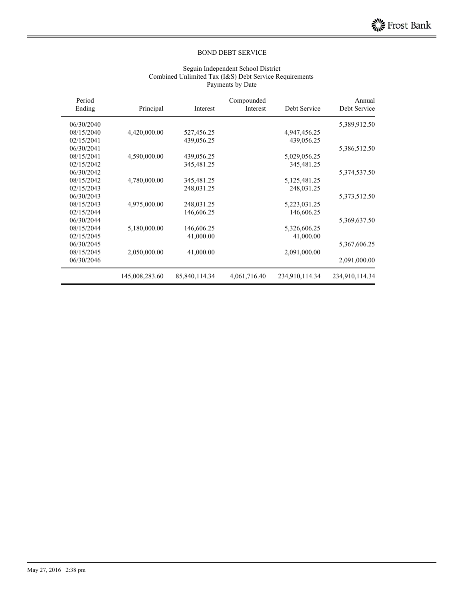#### Seguin Independent School District Combined Unlimited Tax (I&S) Debt Service Requirements Payments by Date

| Period<br>Ending | Principal      | Interest      | Compounded<br>Interest | Debt Service   | Annual<br>Debt Service |
|------------------|----------------|---------------|------------------------|----------------|------------------------|
| 06/30/2040       |                |               |                        |                | 5,389,912.50           |
| 08/15/2040       | 4,420,000.00   | 527,456.25    |                        | 4,947,456.25   |                        |
| 02/15/2041       |                | 439,056.25    |                        | 439,056.25     |                        |
| 06/30/2041       |                |               |                        |                | 5,386,512.50           |
| 08/15/2041       | 4,590,000.00   | 439,056.25    |                        | 5,029,056.25   |                        |
| 02/15/2042       |                | 345,481.25    |                        | 345,481.25     |                        |
| 06/30/2042       |                |               |                        |                | 5,374,537.50           |
| 08/15/2042       | 4,780,000.00   | 345,481.25    |                        | 5,125,481.25   |                        |
| 02/15/2043       |                | 248,031.25    |                        | 248,031.25     |                        |
| 06/30/2043       |                |               |                        |                | 5,373,512.50           |
| 08/15/2043       | 4,975,000.00   | 248,031.25    |                        | 5,223,031.25   |                        |
| 02/15/2044       |                | 146,606.25    |                        | 146,606.25     |                        |
| 06/30/2044       |                |               |                        |                | 5,369,637.50           |
| 08/15/2044       | 5,180,000.00   | 146,606.25    |                        | 5,326,606.25   |                        |
| 02/15/2045       |                | 41,000.00     |                        | 41,000.00      |                        |
| 06/30/2045       |                |               |                        |                | 5,367,606.25           |
| 08/15/2045       | 2,050,000.00   | 41,000.00     |                        | 2,091,000.00   |                        |
| 06/30/2046       |                |               |                        |                | 2,091,000.00           |
|                  | 145,008,283.60 | 85,840,114.34 | 4,061,716.40           | 234,910,114.34 | 234,910,114.34         |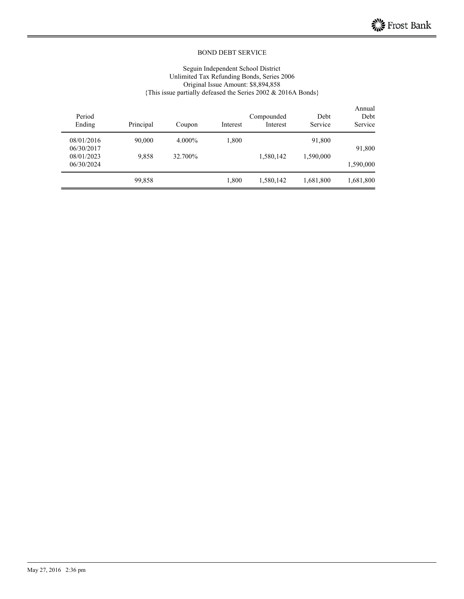#### Seguin Independent School District Unlimited Tax Refunding Bonds, Series 2006 Original Issue Amount: \$8,894,858 {This issue partially defeased the Series 2002 & 2016A Bonds}

| Annual<br>Debt<br>Service | Debt<br>Service | Compounded<br>Interest | Interest | Coupon  | Principal | Period<br>Ending |
|---------------------------|-----------------|------------------------|----------|---------|-----------|------------------|
|                           | 91,800          |                        | 1,800    | 4.000%  | 90,000    | 08/01/2016       |
| 91,800                    |                 |                        |          |         |           | 06/30/2017       |
|                           | 1,590,000       | 1,580,142              |          | 32.700% | 9.858     | 08/01/2023       |
| 1,590,000                 |                 |                        |          |         |           | 06/30/2024       |
| 1,681,800                 | 1,681,800       | 1,580,142              | 1,800    |         | 99,858    |                  |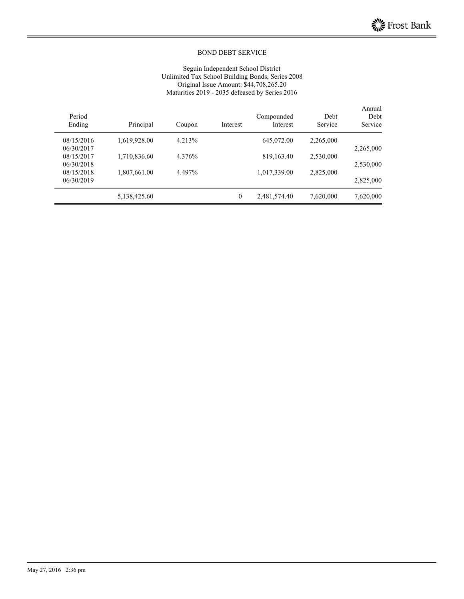#### Seguin Independent School District Unlimited Tax School Building Bonds, Series 2008 Original Issue Amount: \$44,708,265.20 Maturities 2019 - 2035 defeased by Series 2016

| Period<br>Ending | Principal    | Coupon | Interest         | Compounded<br>Interest | Debt<br>Service | Annual<br>Debt<br>Service |
|------------------|--------------|--------|------------------|------------------------|-----------------|---------------------------|
| 08/15/2016       | 1,619,928.00 | 4.213% |                  | 645,072.00             | 2,265,000       |                           |
| 06/30/2017       |              |        |                  |                        |                 | 2,265,000                 |
| 08/15/2017       | 1,710,836.60 | 4.376% |                  | 819, 163. 40           | 2,530,000       |                           |
| 06/30/2018       |              |        |                  |                        |                 | 2,530,000                 |
| 08/15/2018       | 1,807,661.00 | 4.497% |                  | 1,017,339.00           | 2,825,000       |                           |
| 06/30/2019       |              |        |                  |                        |                 | 2,825,000                 |
|                  | 5,138,425.60 |        | $\boldsymbol{0}$ | 2,481,574.40           | 7,620,000       | 7,620,000                 |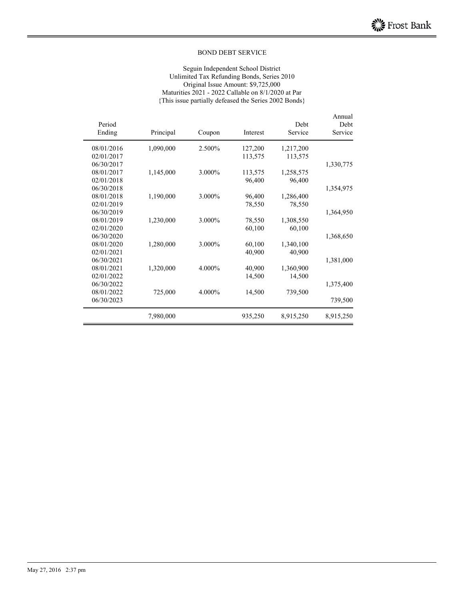#### Seguin Independent School District Unlimited Tax Refunding Bonds, Series 2010 Original Issue Amount: \$9,725,000 Maturities 2021 - 2022 Callable on 8/1/2020 at Par {This issue partially defeased the Series 2002 Bonds}

| Period<br>Ending | Principal | Coupon | Interest | Debt<br>Service | Annual<br>Debt<br>Service |
|------------------|-----------|--------|----------|-----------------|---------------------------|
| 08/01/2016       | 1,090,000 | 2.500% | 127,200  | 1,217,200       |                           |
| 02/01/2017       |           |        | 113,575  | 113,575         |                           |
| 06/30/2017       |           |        |          |                 | 1,330,775                 |
| 08/01/2017       | 1,145,000 | 3.000% | 113,575  | 1,258,575       |                           |
| 02/01/2018       |           |        | 96,400   | 96,400          |                           |
| 06/30/2018       |           |        |          |                 | 1,354,975                 |
| 08/01/2018       | 1,190,000 | 3.000% | 96,400   | 1,286,400       |                           |
| 02/01/2019       |           |        | 78,550   | 78,550          |                           |
| 06/30/2019       |           |        |          |                 | 1,364,950                 |
| 08/01/2019       | 1,230,000 | 3.000% | 78,550   | 1,308,550       |                           |
| 02/01/2020       |           |        | 60,100   | 60,100          |                           |
| 06/30/2020       |           |        |          |                 | 1,368,650                 |
| 08/01/2020       | 1,280,000 | 3.000% | 60,100   | 1,340,100       |                           |
| 02/01/2021       |           |        | 40,900   | 40,900          |                           |
| 06/30/2021       |           |        |          |                 | 1,381,000                 |
| 08/01/2021       | 1,320,000 | 4.000% | 40,900   | 1,360,900       |                           |
| 02/01/2022       |           |        | 14,500   | 14,500          |                           |
| 06/30/2022       |           |        |          |                 | 1,375,400                 |
| 08/01/2022       | 725,000   | 4.000% | 14,500   | 739,500         |                           |
| 06/30/2023       |           |        |          |                 | 739,500                   |
|                  | 7,980,000 |        | 935,250  | 8,915,250       | 8,915,250                 |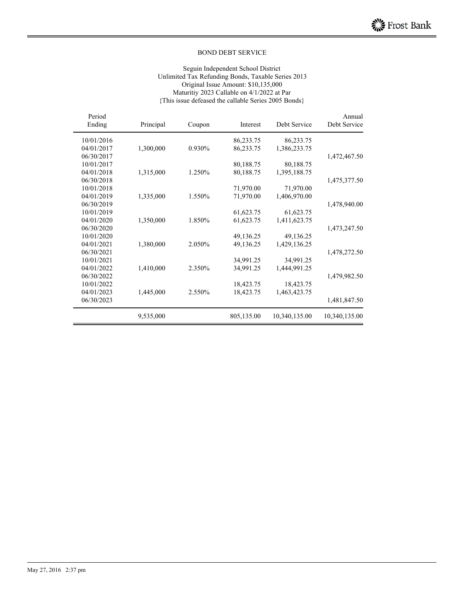#### Seguin Independent School District Unlimited Tax Refunding Bonds, Taxable Series 2013 Original Issue Amount: \$10,135,000 Maturitiy 2023 Callable on 4/1/2022 at Par {This issue defeased the callable Series 2005 Bonds}

| Annual<br>Debt Service | Debt Service  | Interest   | Coupon | Principal | Period<br>Ending |
|------------------------|---------------|------------|--------|-----------|------------------|
|                        | 86,233.75     | 86,233.75  |        |           | 10/01/2016       |
|                        | 1,386,233.75  | 86,233.75  | 0.930% | 1,300,000 | 04/01/2017       |
| 1,472,467.50           |               |            |        |           | 06/30/2017       |
|                        | 80,188.75     | 80,188.75  |        |           | 10/01/2017       |
|                        | 1,395,188.75  | 80,188.75  | 1.250% | 1,315,000 | 04/01/2018       |
| 1,475,377.50           |               |            |        |           | 06/30/2018       |
|                        | 71,970.00     | 71,970.00  |        |           | 10/01/2018       |
|                        | 1,406,970.00  | 71,970.00  | 1.550% | 1,335,000 | 04/01/2019       |
| 1,478,940.00           |               |            |        |           | 06/30/2019       |
|                        | 61,623.75     | 61,623.75  |        |           | 10/01/2019       |
|                        | 1,411,623.75  | 61,623.75  | 1.850% | 1,350,000 | 04/01/2020       |
| 1,473,247.50           |               |            |        |           | 06/30/2020       |
|                        | 49,136.25     | 49,136.25  |        |           | 10/01/2020       |
|                        | 1,429,136.25  | 49,136.25  | 2.050% | 1,380,000 | 04/01/2021       |
| 1,478,272.50           |               |            |        |           | 06/30/2021       |
|                        | 34,991.25     | 34,991.25  |        |           | 10/01/2021       |
|                        | 1,444,991.25  | 34,991.25  | 2.350% | 1,410,000 | 04/01/2022       |
| 1,479,982.50           |               |            |        |           | 06/30/2022       |
|                        | 18,423.75     | 18,423.75  |        |           | 10/01/2022       |
|                        | 1,463,423.75  | 18,423.75  | 2.550% | 1,445,000 | 04/01/2023       |
| 1,481,847.50           |               |            |        |           | 06/30/2023       |
| 10,340,135.00          | 10,340,135.00 | 805,135.00 |        | 9,535,000 |                  |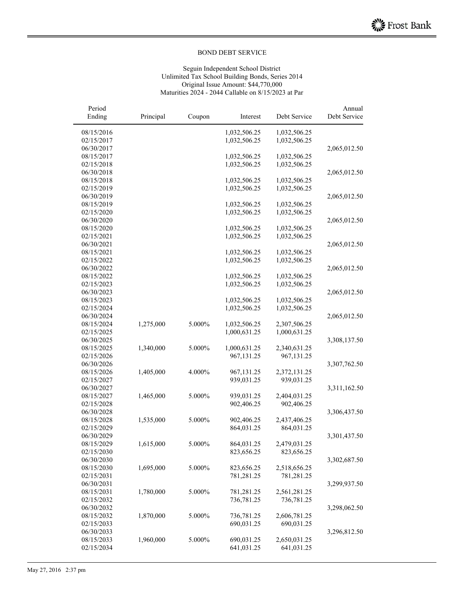#### Seguin Independent School District Unlimited Tax School Building Bonds, Series 2014 Original Issue Amount: \$44,770,000 Maturities 2024 - 2044 Callable on 8/15/2023 at Par

| Period<br>Ending         | Principal | Coupon    | Interest     | Debt Service | Annual<br>Debt Service |
|--------------------------|-----------|-----------|--------------|--------------|------------------------|
| 08/15/2016               |           |           | 1,032,506.25 | 1,032,506.25 |                        |
| 02/15/2017               |           |           | 1,032,506.25 | 1,032,506.25 |                        |
| 06/30/2017               |           |           |              |              | 2,065,012.50           |
| 08/15/2017               |           |           | 1,032,506.25 | 1,032,506.25 |                        |
| 02/15/2018               |           |           | 1,032,506.25 | 1,032,506.25 |                        |
| 06/30/2018               |           |           |              |              | 2,065,012.50           |
| 08/15/2018               |           |           | 1,032,506.25 | 1,032,506.25 |                        |
| 02/15/2019               |           |           | 1,032,506.25 | 1,032,506.25 |                        |
| 06/30/2019               |           |           |              |              | 2,065,012.50           |
| 08/15/2019               |           |           | 1,032,506.25 | 1,032,506.25 |                        |
| 02/15/2020               |           |           | 1,032,506.25 | 1,032,506.25 |                        |
| 06/30/2020               |           |           |              |              | 2,065,012.50           |
| 08/15/2020               |           |           | 1,032,506.25 | 1,032,506.25 |                        |
| 02/15/2021               |           |           | 1,032,506.25 | 1,032,506.25 |                        |
| 06/30/2021               |           |           |              |              | 2,065,012.50           |
| 08/15/2021               |           |           | 1,032,506.25 | 1,032,506.25 |                        |
| 02/15/2022               |           |           | 1,032,506.25 | 1,032,506.25 |                        |
| 06/30/2022               |           |           |              |              | 2,065,012.50           |
| 08/15/2022               |           |           | 1,032,506.25 | 1,032,506.25 |                        |
| 02/15/2023               |           |           | 1,032,506.25 | 1,032,506.25 |                        |
| 06/30/2023               |           |           |              |              | 2,065,012.50           |
| 08/15/2023               |           |           | 1,032,506.25 | 1,032,506.25 |                        |
| 02/15/2024               |           |           | 1,032,506.25 | 1,032,506.25 |                        |
| 06/30/2024               |           |           |              |              | 2,065,012.50           |
| 08/15/2024               | 1,275,000 | 5.000%    | 1,032,506.25 | 2,307,506.25 |                        |
| 02/15/2025               |           |           | 1,000,631.25 | 1,000,631.25 |                        |
| 06/30/2025               |           |           |              |              | 3,308,137.50           |
| 08/15/2025               | 1,340,000 | 5.000%    | 1,000,631.25 | 2,340,631.25 |                        |
| 02/15/2026               |           |           | 967,131.25   | 967,131.25   |                        |
| 06/30/2026               |           |           |              |              | 3,307,762.50           |
| 08/15/2026               | 1,405,000 | 4.000%    | 967,131.25   | 2,372,131.25 |                        |
| 02/15/2027               |           |           | 939,031.25   | 939,031.25   |                        |
| 06/30/2027               |           |           |              |              | 3,311,162.50           |
| 08/15/2027               | 1,465,000 | 5.000%    | 939,031.25   | 2,404,031.25 |                        |
| 02/15/2028               |           |           | 902,406.25   | 902,406.25   |                        |
| 06/30/2028               |           |           |              |              | 3,306,437.50           |
| 08/15/2028               | 1,535,000 | 5.000%    | 902,406.25   | 2,437,406.25 |                        |
| 02/15/2029               |           |           | 864,031.25   | 864,031.25   |                        |
| 06/30/2029               |           |           |              |              | 3,301,437.50           |
| 08/15/2029               | 1,615,000 | $5.000\%$ | 864,031.25   | 2,479,031.25 |                        |
| 02/15/2030               |           |           | 823,656.25   | 823,656.25   |                        |
| 06/30/2030               |           |           |              |              | 3,302,687.50           |
| 08/15/2030               | 1,695,000 | 5.000%    | 823,656.25   | 2,518,656.25 |                        |
| 02/15/2031               |           |           | 781,281.25   | 781,281.25   |                        |
| 06/30/2031               |           |           |              |              | 3,299,937.50           |
| 08/15/2031               | 1,780,000 | 5.000%    | 781,281.25   | 2,561,281.25 |                        |
| 02/15/2032<br>06/30/2032 |           |           | 736,781.25   | 736,781.25   | 3,298,062.50           |
| 08/15/2032               | 1,870,000 | 5.000%    | 736,781.25   | 2,606,781.25 |                        |
| 02/15/2033               |           |           | 690,031.25   | 690,031.25   |                        |
| 06/30/2033               |           |           |              |              | 3,296,812.50           |
| 08/15/2033               | 1,960,000 | 5.000%    | 690,031.25   | 2,650,031.25 |                        |
| 02/15/2034               |           |           | 641,031.25   | 641,031.25   |                        |
|                          |           |           |              |              |                        |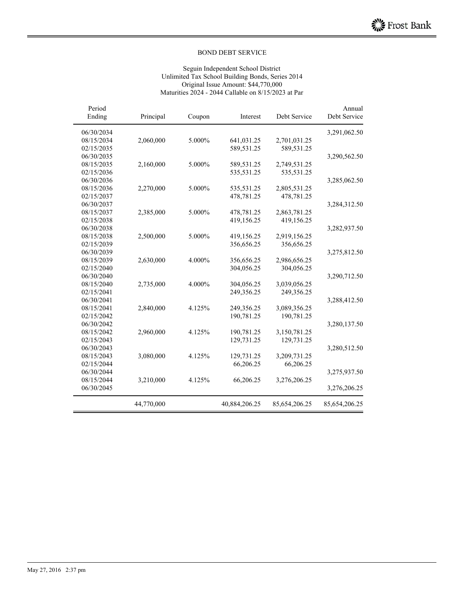#### Seguin Independent School District Unlimited Tax School Building Bonds, Series 2014 Original Issue Amount: \$44,770,000 Maturities 2024 - 2044 Callable on 8/15/2023 at Par

| Annual<br>Debt Service | Debt Service  | Interest      | Coupon | Principal  | Period<br>Ending |
|------------------------|---------------|---------------|--------|------------|------------------|
| 3,291,062.50           |               |               |        |            | 06/30/2034       |
|                        | 2,701,031.25  | 641,031.25    | 5.000% | 2,060,000  | 08/15/2034       |
|                        | 589,531.25    | 589,531.25    |        |            | 02/15/2035       |
| 3,290,562.50           |               |               |        |            | 06/30/2035       |
|                        | 2,749,531.25  | 589,531.25    | 5.000% | 2,160,000  | 08/15/2035       |
|                        | 535,531.25    | 535,531.25    |        |            | 02/15/2036       |
| 3,285,062.50           |               |               |        |            | 06/30/2036       |
|                        | 2,805,531.25  | 535,531.25    | 5.000% | 2,270,000  | 08/15/2036       |
|                        | 478,781.25    | 478,781.25    |        |            | 02/15/2037       |
| 3,284,312.50           |               |               |        |            | 06/30/2037       |
|                        | 2,863,781.25  | 478,781.25    | 5.000% | 2,385,000  | 08/15/2037       |
|                        | 419,156.25    | 419,156.25    |        |            | 02/15/2038       |
| 3,282,937.50           |               |               |        |            | 06/30/2038       |
|                        | 2,919,156.25  | 419,156.25    | 5.000% | 2,500,000  | 08/15/2038       |
|                        | 356,656.25    | 356,656.25    |        |            | 02/15/2039       |
| 3,275,812.50           |               |               |        |            | 06/30/2039       |
|                        | 2,986,656.25  | 356,656.25    | 4.000% | 2,630,000  | 08/15/2039       |
|                        | 304,056.25    | 304,056.25    |        |            | 02/15/2040       |
| 3,290,712.50           |               |               |        |            | 06/30/2040       |
|                        | 3,039,056.25  | 304,056.25    | 4.000% | 2,735,000  | 08/15/2040       |
|                        | 249,356.25    | 249,356.25    |        |            | 02/15/2041       |
| 3,288,412.50           |               |               |        |            | 06/30/2041       |
|                        | 3,089,356.25  | 249,356.25    | 4.125% | 2,840,000  | 08/15/2041       |
|                        | 190,781.25    | 190,781.25    |        |            | 02/15/2042       |
| 3,280,137.50           |               |               |        |            | 06/30/2042       |
|                        | 3,150,781.25  | 190,781.25    | 4.125% | 2,960,000  | 08/15/2042       |
|                        | 129,731.25    | 129,731.25    |        |            | 02/15/2043       |
| 3,280,512.50           |               |               |        |            | 06/30/2043       |
|                        | 3,209,731.25  | 129,731.25    | 4.125% | 3,080,000  | 08/15/2043       |
|                        | 66,206.25     | 66,206.25     |        |            | 02/15/2044       |
| 3,275,937.50           |               |               |        |            | 06/30/2044       |
|                        | 3,276,206.25  | 66,206.25     | 4.125% | 3,210,000  | 08/15/2044       |
| 3,276,206.25           |               |               |        |            | 06/30/2045       |
| 85,654,206.25          | 85,654,206.25 | 40,884,206.25 |        | 44,770,000 |                  |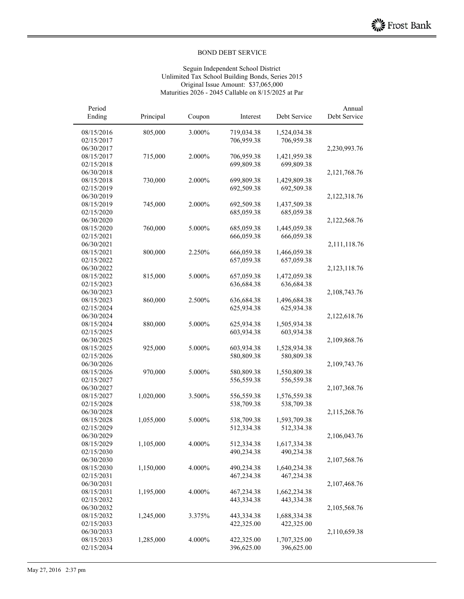#### Seguin Independent School District Unlimited Tax School Building Bonds, Series 2015 Original Issue Amount: \$37,065,000 Maturities 2026 - 2045 Callable on 8/15/2025 at Par

| Period<br>Ending         | Principal | Coupon | Interest   | Debt Service | Annual<br>Debt Service |
|--------------------------|-----------|--------|------------|--------------|------------------------|
| 08/15/2016               | 805,000   | 3.000% | 719,034.38 | 1,524,034.38 |                        |
| 02/15/2017               |           |        | 706,959.38 | 706,959.38   |                        |
| 06/30/2017               |           |        |            |              | 2,230,993.76           |
| 08/15/2017               | 715,000   | 2.000% | 706,959.38 | 1,421,959.38 |                        |
| 02/15/2018               |           |        | 699,809.38 | 699,809.38   |                        |
| 06/30/2018               |           |        |            |              | 2,121,768.76           |
| 08/15/2018               | 730,000   | 2.000% | 699,809.38 | 1,429,809.38 |                        |
| 02/15/2019               |           |        | 692,509.38 | 692,509.38   |                        |
| 06/30/2019               |           |        |            |              | 2,122,318.76           |
| 08/15/2019               | 745,000   | 2.000% | 692,509.38 | 1,437,509.38 |                        |
| 02/15/2020               |           |        | 685,059.38 | 685,059.38   |                        |
| 06/30/2020               |           |        |            |              | 2,122,568.76           |
| 08/15/2020               | 760,000   | 5.000% | 685,059.38 | 1,445,059.38 |                        |
| 02/15/2021               |           |        | 666,059.38 | 666,059.38   |                        |
| 06/30/2021               |           |        |            |              | 2,111,118.76           |
| 08/15/2021               | 800,000   | 2.250% | 666,059.38 | 1,466,059.38 |                        |
| 02/15/2022               |           |        | 657,059.38 | 657,059.38   |                        |
| 06/30/2022               |           |        |            |              | 2,123,118.76           |
| 08/15/2022               | 815,000   | 5.000% | 657,059.38 | 1,472,059.38 |                        |
| 02/15/2023               |           |        | 636,684.38 | 636,684.38   |                        |
| 06/30/2023               |           |        |            |              | 2,108,743.76           |
| 08/15/2023               | 860,000   | 2.500% | 636,684.38 | 1,496,684.38 |                        |
| 02/15/2024               |           |        | 625,934.38 | 625,934.38   |                        |
| 06/30/2024               |           |        |            |              | 2,122,618.76           |
| 08/15/2024               | 880,000   | 5.000% | 625,934.38 | 1,505,934.38 |                        |
| 02/15/2025               |           |        | 603,934.38 | 603,934.38   |                        |
| 06/30/2025               |           |        |            |              | 2,109,868.76           |
| 08/15/2025               | 925,000   | 5.000% | 603,934.38 | 1,528,934.38 |                        |
| 02/15/2026               |           |        | 580,809.38 | 580,809.38   |                        |
| 06/30/2026               |           |        |            |              | 2,109,743.76           |
| 08/15/2026               | 970,000   | 5.000% | 580,809.38 | 1,550,809.38 |                        |
| 02/15/2027               |           |        | 556,559.38 | 556,559.38   |                        |
| 06/30/2027               |           |        |            |              | 2,107,368.76           |
| 08/15/2027               | 1,020,000 | 3.500% | 556,559.38 | 1,576,559.38 |                        |
| 02/15/2028               |           |        | 538,709.38 | 538,709.38   |                        |
| 06/30/2028               |           |        |            |              | 2,115,268.76           |
| 08/15/2028<br>02/15/2029 | 1,055,000 | 5.000% | 538,709.38 | 1,593,709.38 |                        |
| 06/30/2029               |           |        | 512,334.38 | 512,334.38   | 2,106,043.76           |
| 08/15/2029               |           | 4.000% | 512,334.38 | 1,617,334.38 |                        |
| 02/15/2030               | 1,105,000 |        | 490,234.38 | 490,234.38   |                        |
| 06/30/2030               |           |        |            |              | 2,107,568.76           |
| 08/15/2030               | 1,150,000 | 4.000% | 490,234.38 | 1,640,234.38 |                        |
| 02/15/2031               |           |        | 467,234.38 | 467,234.38   |                        |
| 06/30/2031               |           |        |            |              | 2,107,468.76           |
| 08/15/2031               | 1,195,000 | 4.000% | 467,234.38 | 1,662,234.38 |                        |
| 02/15/2032               |           |        | 443,334.38 | 443,334.38   |                        |
| 06/30/2032               |           |        |            |              | 2,105,568.76           |
| 08/15/2032               | 1,245,000 | 3.375% | 443,334.38 | 1,688,334.38 |                        |
| 02/15/2033               |           |        | 422,325.00 | 422,325.00   |                        |
| 06/30/2033               |           |        |            |              | 2,110,659.38           |
| 08/15/2033               | 1,285,000 | 4.000% | 422,325.00 | 1,707,325.00 |                        |
| 02/15/2034               |           |        | 396,625.00 | 396,625.00   |                        |
|                          |           |        |            |              |                        |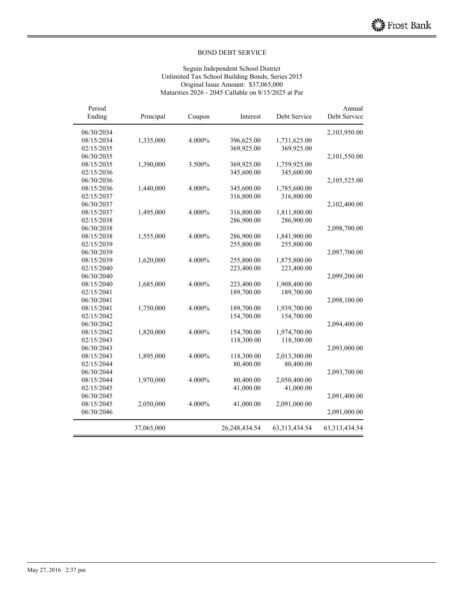#### Seguin Independent School District Unlimited Tax School Building Bonds, Series 2015 Original Issue Amount: \$37,065,000 Maturities 2026 - 2045 Callable on 8/15/2025 at Par

| Annual<br>Debt Service | Debt Service     | Interest      | Coupon | Principal  | Period<br>Ending |
|------------------------|------------------|---------------|--------|------------|------------------|
| 2,103,950.00           |                  |               |        |            | 06/30/2034       |
|                        | 1,731,625.00     | 396,625.00    | 4.000% | 1,335,000  | 08/15/2034       |
|                        | 369,925.00       | 369,925.00    |        |            | 02/15/2035       |
| 2,101,550.00           |                  |               |        |            | 06/30/2035       |
|                        | 1,759,925.00     | 369,925.00    | 3.500% | 1,390,000  | 08/15/2035       |
|                        | 345,600.00       | 345,600.00    |        |            | 02/15/2036       |
| 2,105,525.00           |                  |               |        |            | 06/30/2036       |
|                        | 1,785,600.00     | 345,600.00    | 4.000% | 1,440,000  | 08/15/2036       |
|                        | 316,800.00       | 316,800.00    |        |            | 02/15/2037       |
| 2,102,400.00           |                  |               |        |            | 06/30/2037       |
|                        | 1,811,800.00     | 316,800.00    | 4.000% | 1,495,000  | 08/15/2037       |
|                        | 286,900.00       | 286,900.00    |        |            | 02/15/2038       |
| 2,098,700.00           |                  |               |        |            | 06/30/2038       |
|                        | 1,841,900.00     | 286,900.00    | 4.000% | 1,555,000  | 08/15/2038       |
|                        | 255,800.00       | 255,800.00    |        |            | 02/15/2039       |
| 2,097,700.00           |                  |               |        |            | 06/30/2039       |
|                        | 1,875,800.00     | 255,800.00    | 4.000% | 1,620,000  | 08/15/2039       |
|                        | 223,400.00       | 223,400.00    |        |            | 02/15/2040       |
| 2,099,200.00           |                  |               |        |            | 06/30/2040       |
|                        | 1,908,400.00     | 223,400.00    | 4.000% | 1,685,000  | 08/15/2040       |
|                        | 189,700.00       | 189,700.00    |        |            | 02/15/2041       |
| 2,098,100.00           |                  |               |        |            | 06/30/2041       |
|                        | 1,939,700.00     | 189,700.00    | 4.000% | 1,750,000  | 08/15/2041       |
|                        | 154,700.00       | 154,700.00    |        |            | 02/15/2042       |
| 2,094,400.00           |                  |               |        |            | 06/30/2042       |
|                        | 1,974,700.00     | 154,700.00    | 4.000% | 1,820,000  | 08/15/2042       |
|                        | 118,300.00       | 118,300.00    |        |            | 02/15/2043       |
| 2,093,000.00           |                  |               |        |            | 06/30/2043       |
|                        | 2,013,300.00     | 118,300.00    | 4.000% | 1,895,000  | 08/15/2043       |
|                        | 80,400.00        | 80,400.00     |        |            | 02/15/2044       |
| 2,093,700.00           |                  |               |        |            | 06/30/2044       |
|                        | 2,050,400.00     | 80,400.00     | 4.000% | 1,970,000  | 08/15/2044       |
|                        | 41,000.00        | 41,000.00     |        |            | 02/15/2045       |
| 2,091,400.00           |                  |               |        |            | 06/30/2045       |
|                        | 2,091,000.00     | 41,000.00     | 4.000% | 2,050,000  | 08/15/2045       |
| 2,091,000.00           |                  |               |        |            | 06/30/2046       |
| 63, 313, 434. 54       | 63, 313, 434. 54 | 26,248,434.54 |        | 37,065,000 |                  |
|                        |                  |               |        |            |                  |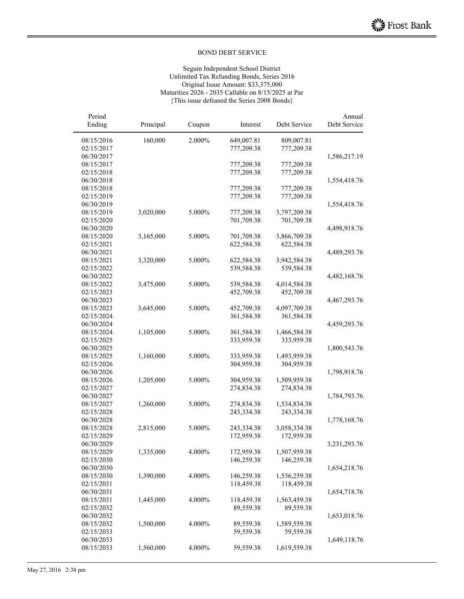#### Seguin Independent School District Unlimited Tax Refunding Bonds, Series 2016 Original Issue Amount: \$33,375,000 Maturities 2026 - 2035 Callable on 8/15/2025 at Par {This issue defeased the Series 2008 Bonds}

| Period     |           |        |            |              | Annual                                       |
|------------|-----------|--------|------------|--------------|----------------------------------------------|
| Ending     | Principal | Coupon | Interest   | Debt Service | Debt Service                                 |
| 08/15/2016 | 160,000   | 2.000% | 649,007.81 | 809,007.81   |                                              |
| 02/15/2017 |           |        | 777,209.38 | 777,209.38   |                                              |
| 06/30/2017 |           |        |            |              | 1,586,217.19                                 |
| 08/15/2017 |           |        | 777,209.38 | 777,209.38   |                                              |
| 02/15/2018 |           |        | 777,209.38 | 777,209.38   |                                              |
| 06/30/2018 |           |        |            |              | 1,554,418.76                                 |
| 08/15/2018 |           |        | 777,209.38 | 777,209.38   |                                              |
| 02/15/2019 |           |        | 777,209.38 | 777,209.38   |                                              |
| 06/30/2019 |           |        |            |              | 1,554,418.76                                 |
| 08/15/2019 | 3,020,000 | 5.000% | 777,209.38 | 3,797,209.38 |                                              |
| 02/15/2020 |           |        | 701,709.38 | 701,709.38   |                                              |
| 06/30/2020 |           |        |            |              | 4,498,918.76                                 |
| 08/15/2020 | 3,165,000 | 5.000% | 701,709.38 | 3,866,709.38 |                                              |
| 02/15/2021 |           |        | 622,584.38 | 622,584.38   |                                              |
| 06/30/2021 |           |        |            |              | 4,489,293.76                                 |
| 08/15/2021 | 3,320,000 | 5.000% | 622,584.38 | 3,942,584.38 |                                              |
| 02/15/2022 |           |        | 539,584.38 | 539,584.38   |                                              |
| 06/30/2022 |           |        |            |              | 4,482,168.76                                 |
| 08/15/2022 | 3,475,000 | 5.000% | 539,584.38 | 4,014,584.38 |                                              |
| 02/15/2023 |           |        | 452,709.38 | 452,709.38   |                                              |
| 06/30/2023 |           |        |            |              |                                              |
| 08/15/2023 | 3,645,000 | 5.000% | 452,709.38 | 4,097,709.38 |                                              |
| 02/15/2024 |           |        | 361,584.38 | 361,584.38   |                                              |
| 06/30/2024 |           |        |            |              |                                              |
| 08/15/2024 | 1,105,000 | 5.000% | 361,584.38 | 1,466,584.38 | 4,467,293.76<br>4,459,293.76<br>1,800,543.76 |
| 02/15/2025 |           |        | 333,959.38 | 333,959.38   |                                              |
| 06/30/2025 |           |        |            |              |                                              |
| 08/15/2025 | 1,160,000 | 5.000% | 333,959.38 | 1,493,959.38 |                                              |
| 02/15/2026 |           |        | 304,959.38 | 304,959.38   |                                              |
| 06/30/2026 |           |        |            |              | 1,798,918.76                                 |
| 08/15/2026 | 1,205,000 | 5.000% | 304,959.38 | 1,509,959.38 |                                              |
| 02/15/2027 |           |        | 274,834.38 | 274,834.38   |                                              |
| 06/30/2027 |           |        |            |              | 1,784,793.76                                 |
| 08/15/2027 | 1,260,000 | 5.000% | 274,834.38 | 1,534,834.38 |                                              |
| 02/15/2028 |           |        | 243,334.38 | 243,334.38   |                                              |
| 06/30/2028 |           |        |            |              | 1,778,168.76                                 |
| 08/15/2028 | 2,815,000 | 5.000% | 243,334.38 | 3,058,334.38 |                                              |
| 02/15/2029 |           |        | 172,959.38 | 172,959.38   |                                              |
| 06/30/2029 |           |        |            |              | 3,231,293.76                                 |
| 08/15/2029 | 1,335,000 | 4.000% | 172,959.38 | 1,507,959.38 |                                              |
| 02/15/2030 |           |        | 146,259.38 | 146,259.38   |                                              |
| 06/30/2030 |           |        |            |              | 1,654,218.76                                 |
| 08/15/2030 | 1,390,000 | 4.000% | 146,259.38 | 1,536,259.38 |                                              |
| 02/15/2031 |           |        | 118,459.38 | 118,459.38   |                                              |
| 06/30/2031 |           |        |            |              | 1,654,718.76                                 |
| 08/15/2031 | 1,445,000 | 4.000% | 118,459.38 | 1,563,459.38 |                                              |
| 02/15/2032 |           |        | 89,559.38  | 89,559.38    |                                              |
| 06/30/2032 |           |        |            |              | 1,653,018.76                                 |
| 08/15/2032 | 1,500,000 | 4.000% | 89,559.38  | 1,589,559.38 |                                              |
| 02/15/2033 |           |        | 59,559.38  | 59,559.38    |                                              |
| 06/30/2033 |           |        |            |              | 1,649,118.76                                 |
| 08/15/2033 | 1,560,000 | 4.000% | 59,559.38  | 1,619,559.38 |                                              |
|            |           |        |            |              |                                              |

 $\overline{a}$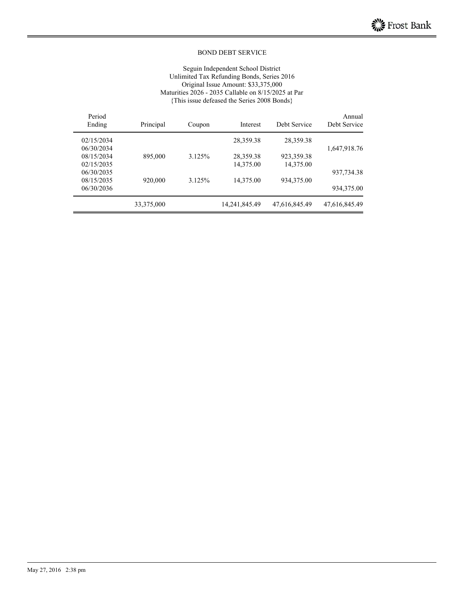#### Seguin Independent School District Unlimited Tax Refunding Bonds, Series 2016 Original Issue Amount: \$33,375,000 Maturities 2026 - 2035 Callable on 8/15/2025 at Par {This issue defeased the Series 2008 Bonds}

| Annual<br>Debt Service | Debt Service  | Interest      | Coupon | Principal  | Period<br>Ending |
|------------------------|---------------|---------------|--------|------------|------------------|
|                        | 28,359.38     | 28,359.38     |        |            | 02/15/2034       |
| 1,647,918.76           |               |               |        |            | 06/30/2034       |
|                        | 923,359.38    | 28,359.38     | 3.125% | 895,000    | 08/15/2034       |
|                        | 14,375.00     | 14,375.00     |        |            | 02/15/2035       |
| 937,734.38             |               |               |        |            | 06/30/2035       |
|                        | 934,375.00    | 14,375.00     | 3.125% | 920,000    | 08/15/2035       |
| 934, 375.00            |               |               |        |            | 06/30/2036       |
| 47,616,845.49          | 47,616,845.49 | 14,241,845.49 |        | 33,375,000 |                  |
|                        |               |               |        |            |                  |